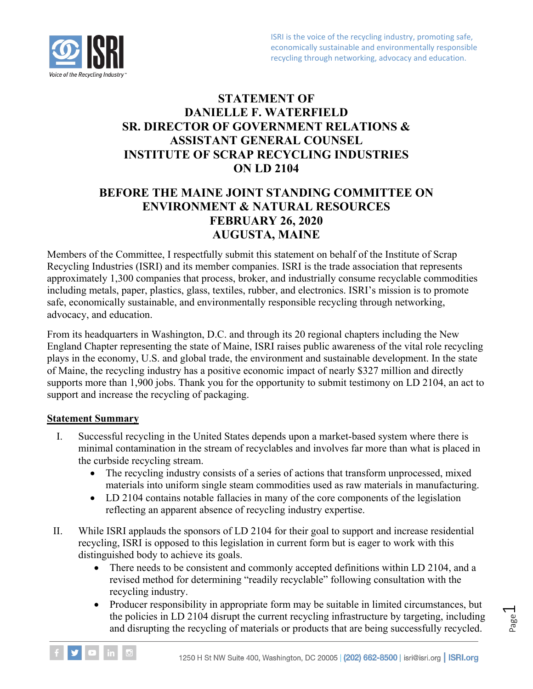# **STATEMENT OF DANIELLE F. WATERFIELD SR. DIRECTOR OF GOVERNMENT RELATIONS & ASSISTANT GENERAL COUNSEL INSTITUTE OF SCRAP RECYCLING INDUSTRIES ON LD 2104**

# **BEFORE THE MAINE JOINT STANDING COMMITTEE ON ENVIRONMENT & NATURAL RESOURCES FEBRUARY 26, 2020 AUGUSTA, MAINE**

Members of the Committee, I respectfully submit this statement on behalf of the Institute of Scrap Recycling Industries (ISRI) and its member companies. ISRI is the trade association that represents approximately 1,300 companies that process, broker, and industrially consume recyclable commodities including metals, paper, plastics, glass, textiles, rubber, and electronics. ISRI's mission is to promote safe, economically sustainable, and environmentally responsible recycling through networking, advocacy, and education.

From its headquarters in Washington, D.C. and through its 20 regional chapters including the New England Chapter representing the state of Maine, ISRI raises public awareness of the vital role recycling plays in the economy, U.S. and global trade, the environment and sustainable development. In the state of Maine, the recycling industry has a positive economic impact of nearly \$327 million and directly supports more than 1,900 jobs. Thank you for the opportunity to submit testimony on LD 2104, an act to support and increase the recycling of packaging.

#### **Statement Summary**

- I. Successful recycling in the United States depends upon a market-based system where there is minimal contamination in the stream of recyclables and involves far more than what is placed in the curbside recycling stream.
	- The recycling industry consists of a series of actions that transform unprocessed, mixed materials into uniform single steam commodities used as raw materials in manufacturing.
	- LD 2104 contains notable fallacies in many of the core components of the legislation reflecting an apparent absence of recycling industry expertise.
- II. While ISRI applauds the sponsors of LD 2104 for their goal to support and increase residential recycling, ISRI is opposed to this legislation in current form but is eager to work with this distinguished body to achieve its goals.
	- There needs to be consistent and commonly accepted definitions within LD 2104, and a revised method for determining "readily recyclable" following consultation with the recycling industry.
	- Producer responsibility in appropriate form may be suitable in limited circumstances, but the policies in LD 2104 disrupt the current recycling infrastructure by targeting, including and disrupting the recycling of materials or products that are being successfully recycled.



Page  $\overline{\phantom{0}}$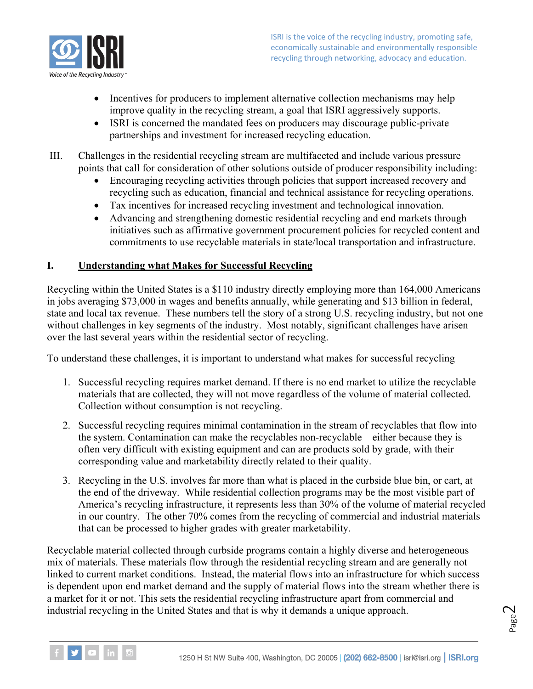

- Incentives for producers to implement alternative collection mechanisms may help improve quality in the recycling stream, a goal that ISRI aggressively supports.
- ISRI is concerned the mandated fees on producers may discourage public-private partnerships and investment for increased recycling education.
- III. Challenges in the residential recycling stream are multifaceted and include various pressure points that call for consideration of other solutions outside of producer responsibility including:
	- Encouraging recycling activities through policies that support increased recovery and recycling such as education, financial and technical assistance for recycling operations.
	- Tax incentives for increased recycling investment and technological innovation.
	- Advancing and strengthening domestic residential recycling and end markets through initiatives such as affirmative government procurement policies for recycled content and commitments to use recyclable materials in state/local transportation and infrastructure.

## **I. Understanding what Makes for Successful Recycling**

Recycling within the United States is a \$110 industry directly employing more than 164,000 Americans in jobs averaging \$73,000 in wages and benefits annually, while generating and \$13 billion in federal, state and local tax revenue. These numbers tell the story of a strong U.S. recycling industry, but not one without challenges in key segments of the industry. Most notably, significant challenges have arisen over the last several years within the residential sector of recycling.

To understand these challenges, it is important to understand what makes for successful recycling –

- 1. Successful recycling requires market demand. If there is no end market to utilize the recyclable materials that are collected, they will not move regardless of the volume of material collected. Collection without consumption is not recycling.
- 2. Successful recycling requires minimal contamination in the stream of recyclables that flow into the system. Contamination can make the recyclables non-recyclable – either because they is often very difficult with existing equipment and can are products sold by grade, with their corresponding value and marketability directly related to their quality.
- 3. Recycling in the U.S. involves far more than what is placed in the curbside blue bin, or cart, at the end of the driveway. While residential collection programs may be the most visible part of America's recycling infrastructure, it represents less than 30% of the volume of material recycled in our country. The other 70% comes from the recycling of commercial and industrial materials that can be processed to higher grades with greater marketability.

Recyclable material collected through curbside programs contain a highly diverse and heterogeneous mix of materials. These materials flow through the residential recycling stream and are generally not linked to current market conditions. Instead, the material flows into an infrastructure for which success is dependent upon end market demand and the supply of material flows into the stream whether there is a market for it or not. This sets the residential recycling infrastructure apart from commercial and industrial recycling in the United States and that is why it demands a unique approach.



Page  $\mathrel{\sim}$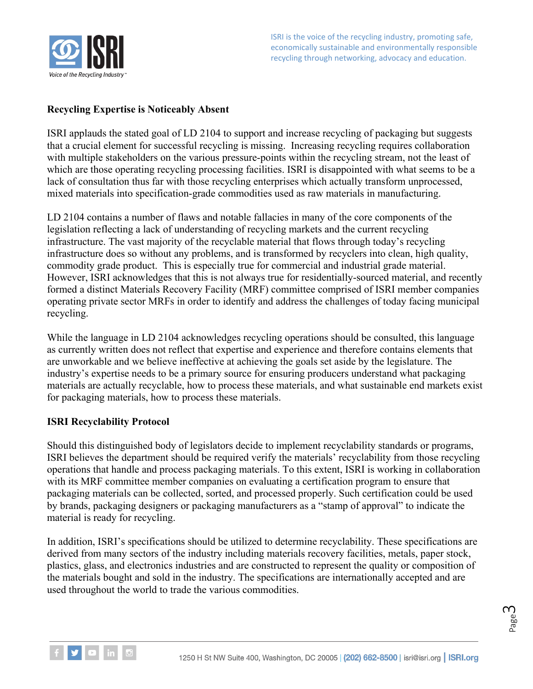

### **Recycling Expertise is Noticeably Absent**

ISRI applauds the stated goal of LD 2104 to support and increase recycling of packaging but suggests that a crucial element for successful recycling is missing. Increasing recycling requires collaboration with multiple stakeholders on the various pressure-points within the recycling stream, not the least of which are those operating recycling processing facilities. ISRI is disappointed with what seems to be a lack of consultation thus far with those recycling enterprises which actually transform unprocessed, mixed materials into specification-grade commodities used as raw materials in manufacturing.

LD 2104 contains a number of flaws and notable fallacies in many of the core components of the legislation reflecting a lack of understanding of recycling markets and the current recycling infrastructure. The vast majority of the recyclable material that flows through today's recycling infrastructure does so without any problems, and is transformed by recyclers into clean, high quality, commodity grade product. This is especially true for commercial and industrial grade material. However, ISRI acknowledges that this is not always true for residentially-sourced material, and recently formed a distinct Materials Recovery Facility (MRF) committee comprised of ISRI member companies operating private sector MRFs in order to identify and address the challenges of today facing municipal recycling.

While the language in LD 2104 acknowledges recycling operations should be consulted, this language as currently written does not reflect that expertise and experience and therefore contains elements that are unworkable and we believe ineffective at achieving the goals set aside by the legislature. The industry's expertise needs to be a primary source for ensuring producers understand what packaging materials are actually recyclable, how to process these materials, and what sustainable end markets exist for packaging materials, how to process these materials.

#### **ISRI Recyclability Protocol**

Should this distinguished body of legislators decide to implement recyclability standards or programs, ISRI believes the department should be required verify the materials' recyclability from those recycling operations that handle and process packaging materials. To this extent, ISRI is working in collaboration with its MRF committee member companies on evaluating a certification program to ensure that packaging materials can be collected, sorted, and processed properly. Such certification could be used by brands, packaging designers or packaging manufacturers as a "stamp of approval" to indicate the material is ready for recycling.

In addition, ISRI's specifications should be utilized to determine recyclability. These specifications are derived from many sectors of the industry including materials recovery facilities, metals, paper stock, plastics, glass, and electronics industries and are constructed to represent the quality or composition of the materials bought and sold in the industry. The specifications are internationally accepted and are used throughout the world to trade the various commodities.

$$
\mathsf{Page}\,3
$$

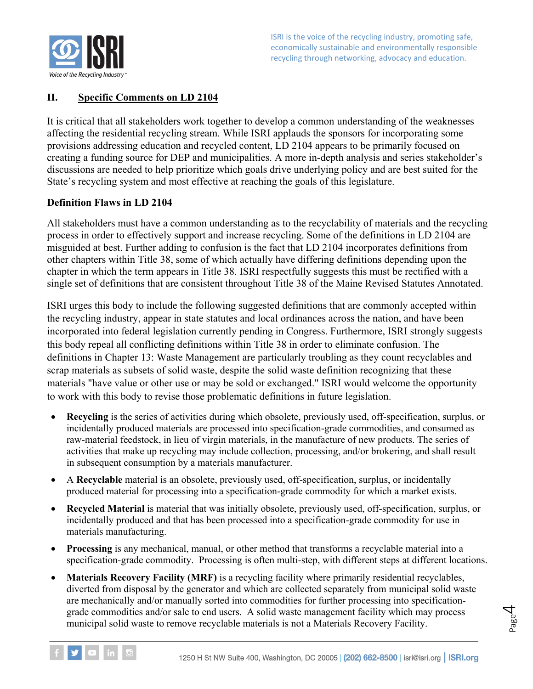

## **II. Specific Comments on LD 2104**

It is critical that all stakeholders work together to develop a common understanding of the weaknesses affecting the residential recycling stream. While ISRI applauds the sponsors for incorporating some provisions addressing education and recycled content, LD 2104 appears to be primarily focused on creating a funding source for DEP and municipalities. A more in-depth analysis and series stakeholder's discussions are needed to help prioritize which goals drive underlying policy and are best suited for the State's recycling system and most effective at reaching the goals of this legislature.

#### **Definition Flaws in LD 2104**

All stakeholders must have a common understanding as to the recyclability of materials and the recycling process in order to effectively support and increase recycling. Some of the definitions in LD 2104 are misguided at best. Further adding to confusion is the fact that LD 2104 incorporates definitions from other chapters within Title 38, some of which actually have differing definitions depending upon the chapter in which the term appears in Title 38. ISRI respectfully suggests this must be rectified with a single set of definitions that are consistent throughout Title 38 of the Maine Revised Statutes Annotated.

ISRI urges this body to include the following suggested definitions that are commonly accepted within the recycling industry, appear in state statutes and local ordinances across the nation, and have been incorporated into federal legislation currently pending in Congress. Furthermore, ISRI strongly suggests this body repeal all conflicting definitions within Title 38 in order to eliminate confusion. The definitions in Chapter 13: Waste Management are particularly troubling as they count recyclables and scrap materials as subsets of solid waste, despite the solid waste definition recognizing that these materials "have value or other use or may be sold or exchanged." ISRI would welcome the opportunity to work with this body to revise those problematic definitions in future legislation.

- **Recycling** is the series of activities during which obsolete, previously used, off-specification, surplus, or incidentally produced materials are processed into specification-grade commodities, and consumed as raw-material feedstock, in lieu of virgin materials, in the manufacture of new products. The series of activities that make up recycling may include collection, processing, and/or brokering, and shall result in subsequent consumption by a materials manufacturer.
- A **Recyclable** material is an obsolete, previously used, off-specification, surplus, or incidentally produced material for processing into a specification-grade commodity for which a market exists.
- **Recycled Material** is material that was initially obsolete, previously used, off-specification, surplus, or incidentally produced and that has been processed into a specification-grade commodity for use in materials manufacturing.
- **Processing** is any mechanical, manual, or other method that transforms a recyclable material into a specification-grade commodity. Processing is often multi-step, with different steps at different locations.
- **Materials Recovery Facility (MRF)** is a recycling facility where primarily residential recyclables, diverted from disposal by the generator and which are collected separately from municipal solid waste are mechanically and/or manually sorted into commodities for further processing into specificationgrade commodities and/or sale to end users. A solid waste management facility which may process municipal solid waste to remove recyclable materials is not a Materials Recovery Facility.



Page 4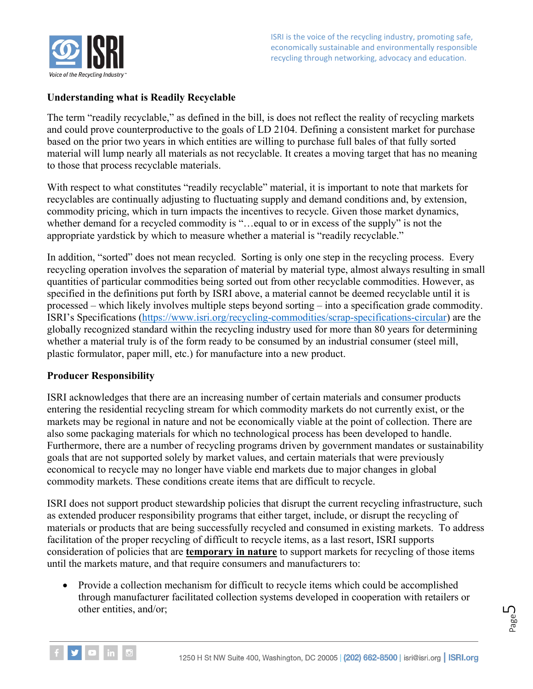

#### **Understanding what is Readily Recyclable**

The term "readily recyclable," as defined in the bill, is does not reflect the reality of recycling markets and could prove counterproductive to the goals of LD 2104. Defining a consistent market for purchase based on the prior two years in which entities are willing to purchase full bales of that fully sorted material will lump nearly all materials as not recyclable. It creates a moving target that has no meaning to those that process recyclable materials.

With respect to what constitutes "readily recyclable" material, it is important to note that markets for recyclables are continually adjusting to fluctuating supply and demand conditions and, by extension, commodity pricing, which in turn impacts the incentives to recycle. Given those market dynamics, whether demand for a recycled commodity is "…equal to or in excess of the supply" is not the appropriate yardstick by which to measure whether a material is "readily recyclable."

In addition, "sorted" does not mean recycled. Sorting is only one step in the recycling process. Every recycling operation involves the separation of material by material type, almost always resulting in small quantities of particular commodities being sorted out from other recyclable commodities. However, as specified in the definitions put forth by ISRI above, a material cannot be deemed recyclable until it is processed – which likely involves multiple steps beyond sorting – into a specification grade commodity. ISRI's Specifications [\(https://www.isri.org/recycling-commodities/scrap-specifications-circular\)](https://www.isri.org/recycling-commodities/scrap-specifications-circular) are the globally recognized standard within the recycling industry used for more than 80 years for determining whether a material truly is of the form ready to be consumed by an industrial consumer (steel mill, plastic formulator, paper mill, etc.) for manufacture into a new product.

#### **Producer Responsibility**

ISRI acknowledges that there are an increasing number of certain materials and consumer products entering the residential recycling stream for which commodity markets do not currently exist, or the markets may be regional in nature and not be economically viable at the point of collection. There are also some packaging materials for which no technological process has been developed to handle. Furthermore, there are a number of recycling programs driven by government mandates or sustainability goals that are not supported solely by market values, and certain materials that were previously economical to recycle may no longer have viable end markets due to major changes in global commodity markets. These conditions create items that are difficult to recycle.

ISRI does not support product stewardship policies that disrupt the current recycling infrastructure, such as extended producer responsibility programs that either target, include, or disrupt the recycling of materials or products that are being successfully recycled and consumed in existing markets. To address facilitation of the proper recycling of difficult to recycle items, as a last resort, ISRI supports consideration of policies that are **temporary in nature** to support markets for recycling of those items until the markets mature, and that require consumers and manufacturers to:

• Provide a collection mechanism for difficult to recycle items which could be accomplished through manufacturer facilitated collection systems developed in cooperation with retailers or other entities, and/or;



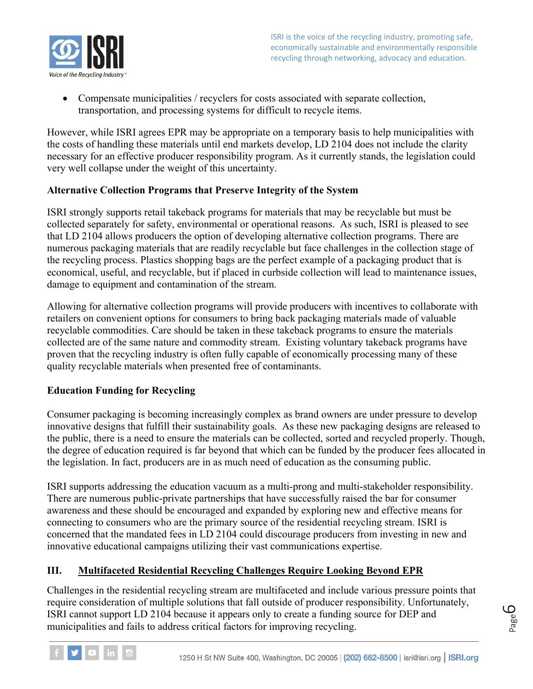

• Compensate municipalities / recyclers for costs associated with separate collection, transportation, and processing systems for difficult to recycle items.

However, while ISRI agrees EPR may be appropriate on a temporary basis to help municipalities with the costs of handling these materials until end markets develop, LD 2104 does not include the clarity necessary for an effective producer responsibility program. As it currently stands, the legislation could very well collapse under the weight of this uncertainty.

#### **Alternative Collection Programs that Preserve Integrity of the System**

ISRI strongly supports retail takeback programs for materials that may be recyclable but must be collected separately for safety, environmental or operational reasons. As such, ISRI is pleased to see that LD 2104 allows producers the option of developing alternative collection programs. There are numerous packaging materials that are readily recyclable but face challenges in the collection stage of the recycling process. Plastics shopping bags are the perfect example of a packaging product that is economical, useful, and recyclable, but if placed in curbside collection will lead to maintenance issues, damage to equipment and contamination of the stream.

Allowing for alternative collection programs will provide producers with incentives to collaborate with retailers on convenient options for consumers to bring back packaging materials made of valuable recyclable commodities. Care should be taken in these takeback programs to ensure the materials collected are of the same nature and commodity stream. Existing voluntary takeback programs have proven that the recycling industry is often fully capable of economically processing many of these quality recyclable materials when presented free of contaminants.

#### **Education Funding for Recycling**

Consumer packaging is becoming increasingly complex as brand owners are under pressure to develop innovative designs that fulfill their sustainability goals. As these new packaging designs are released to the public, there is a need to ensure the materials can be collected, sorted and recycled properly. Though, the degree of education required is far beyond that which can be funded by the producer fees allocated in the legislation. In fact, producers are in as much need of education as the consuming public.

ISRI supports addressing the education vacuum as a multi-prong and multi-stakeholder responsibility. There are numerous public-private partnerships that have successfully raised the bar for consumer awareness and these should be encouraged and expanded by exploring new and effective means for connecting to consumers who are the primary source of the residential recycling stream. ISRI is concerned that the mandated fees in LD 2104 could discourage producers from investing in new and innovative educational campaigns utilizing their vast communications expertise.

## **III. Multifaceted Residential Recycling Challenges Require Looking Beyond EPR**

Challenges in the residential recycling stream are multifaceted and include various pressure points that require consideration of multiple solutions that fall outside of producer responsibility. Unfortunately, ISRI cannot support LD 2104 because it appears only to create a funding source for DEP and municipalities and fails to address critical factors for improving recycling.